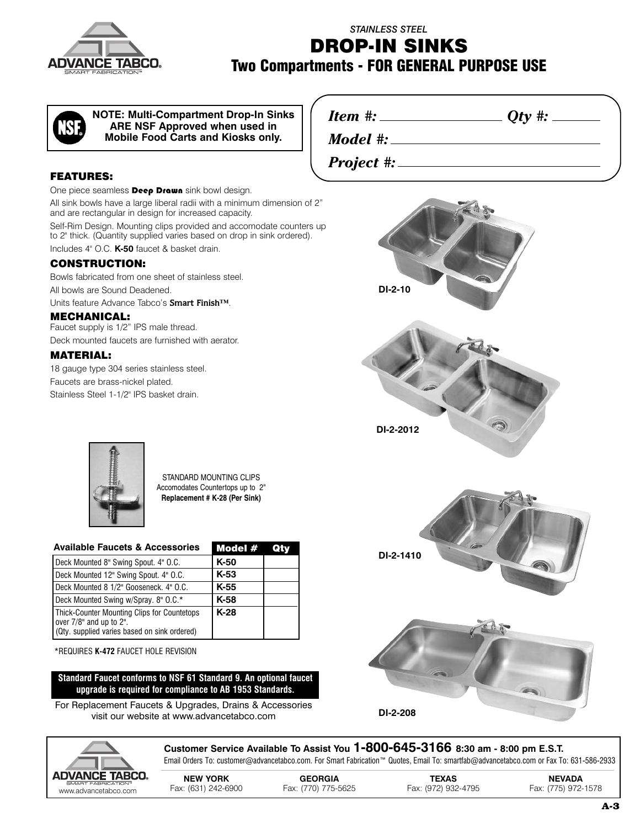

# *STAINLESS STEEL* **DROP-IN SINKS Two Compartments - FOR GENERAL PURPOSE USE**

*Model #:*

*Project #:*

**NOTE: Multi-Compartment Drop-In Sinks ARE NSF Approved when used in Mobile Food Carts and Kiosks only.**

#### **FEATURES:**

One piece seamless **Deep Drawn** sink bowl design.

All sink bowls have a large liberal radii with a minimum dimension of 2" and are rectangular in design for increased capacity.

Self-Rim Design. Mounting clips provided and accomodate counters up to 2" thick. (Quantity supplied varies based on drop in sink ordered). Includes 4" O.C. **K-50** faucet & basket drain.

### **CONSTRUCTION:**

Bowls fabricated from one sheet of stainless steel.

All bowls are Sound Deadened.

Units feature Advance Tabco's **Smart Finish™**.

#### **MECHANICAL:**

Faucet supply is 1/2" IPS male thread. Deck mounted faucets are furnished with aerator.

#### **MATERIAL:**

18 gauge type 304 series stainless steel. Faucets are brass-nickel plated. Stainless Steel 1-1/2" IPS basket drain.



*Item #: Qty #:*



STANDARD MOUNTING CLIPS Accomodates Countertops up to 2" **Replacement # K-28 (Per Sink)**

| <b>Available Faucets &amp; Accessories</b>                                                                             | Model # | Qtv |
|------------------------------------------------------------------------------------------------------------------------|---------|-----|
| Deck Mounted 8" Swing Spout. 4" O.C.                                                                                   | $K-50$  |     |
| Deck Mounted 12" Swing Spout. 4" O.C.                                                                                  | $K-53$  |     |
| Deck Mounted 8 1/2" Gooseneck. 4" O.C.                                                                                 | $K-55$  |     |
| Deck Mounted Swing w/Spray. 8" O.C.*                                                                                   | K-58    |     |
| Thick-Counter Mounting Clips for Countetops<br>over 7/8" and up to 2".<br>(Qty. supplied varies based on sink ordered) | $K-28$  |     |

\*REQUIRES **K-472** FAUCET HOLE REVISION

**Standard Faucet conforms to NSF 61 Standard 9. An optional faucet upgrade is required for compliance to AB 1953 Standards.**

For Replacement Faucets & Upgrades, Drains & Accessories visit our website at www.advancetabco.com







**Customer Service Available To Assist You 1-800-645-3166 8:30 am - 8:00 pm E.S.T.** Email Orders To: customer@advancetabco.com. For Smart Fabrication™ Quotes, Email To: smartfab@advancetabco.com or Fax To: 631-586-2933

**NEW YORK GEORGIA TEXAS NEVADA** WWART FABRICATION" Fax: (631) 242-6900 Fax: (770) 775-5625 Fax: (972) 932-4795 Fax: (775) 972-1578